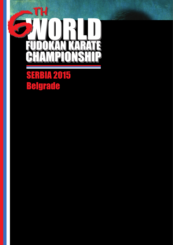

# **SERBIA 2015 Belgrade**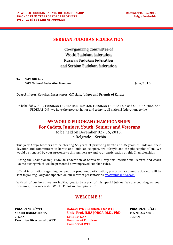#### **SERBIAN FUDOKAN FEDERATION**

Co-organizing Committee of World Fudokan federation Russian Fudokan federation and Serbian Fudokan federation

**To: WFF Officials WFF National Federation Members June, 2015**

**Dear Athletes, Coaches, Instructors, Officials, Judges and Friends of Karate,**

On behalf of WORLD FUDOKAN FEDERATION, RUSSIAN FUDOKAN FEDERATION and SERBIAN FUDOKAN FEDERATION - we have the greatest honor and to invite all national federations to the

# **6th WORLD FUDOKAN CHAMPIONSHIPS For Cadets, Juniors, Youth, Seniors and Veterans**

to be held on December  $02 - 06$ ,  $2015$ .

in Belgrade – Serbia

This year Yorga brothers are celebrating 55 years of practicing karate and 35 years of Fudokan, their devotion and commitment to karate and Fudokan as sport, art, lifestyle and the philosophy of life. We would be honored by your presence to this anniversary and your participation on this Championships.

During the Championship Fudokan Federation of Serbia will organize international referee and coach Course during which will be presented new improved Fudokan rules.

Official information regarding competition program, participation, protocols, accommodation etc. will be sent to you regularly and updated on our internet presentations: www.fudokanifo.com.

With all of our heart, we are inviting you to be a part of this special jubilee! We are counting on your presence, for a successful World Fudokan Championship!

#### **WELCOME!!!**

**Executive Director of UWKF Founder of Fudokan** 

**PRESIDENT Of WFF <b>EXECUTIVE PRESEDENT OF WFF PRESIDENT Of SFF SENSEI RAIEEV SINHA Univ. Prof. ILIIA IORGA, M.D., PhD** Mr. MILOS SENIC 7. DAN Soke 10. DAN 7. DAN **Founder of WFF**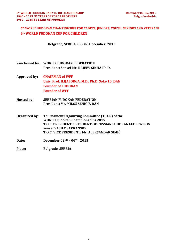#### **6th WORLD FUDOKAN CHAMPIONSHIP FOR CADETS, JUNIORS, YOUTH, SENIORS AND VETERANS 6th WORLD FUDOKAN CUP FOR CHILDREN**

**Belgrade, SERBIA, 02 - 06 December, 2015**

- **Sanctioned by: WORLD FUDOKAN FEDERATION President: Sensei Mr. RAJEEV SINHA Ph.D.**
- **Approved by: CHAIRMAN of WFF Univ. Prof. ILIJA JORGA, M.D., Ph.D. Soke 10. DAN Founder of FUDOKAN Founder of WFF**
- **Hosted by:** SERBIAN FUDOKAN FEDERATION **President: Mr. MILOS SENIC 7. DAN**
- **Organized by: Tournament Organizing Committee (T.O.C.) of the WORLD Fudokan Championships 2015 T.O.C. PRESIDENT: PRESIDENT OF RUSSIAN FUDOKAN FEDERATION sensei VASILY SAVRANSKY T.O.C. VICE PRESIDENT: Mr. ALEKSANDAR SIMIĆ**
- **Date: December 02ND – 06TH, 2015**
- Place: **Belgrade, SERBIA**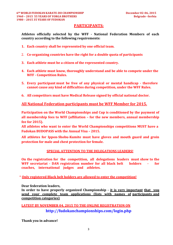#### **PARTICIPANTS:**

**Athletes officially selected by the WFF - National Federation Members of each**  country according to the following requirements:

- 1. Each country shall be represented by one official team.
- 2. Co-organizing countries have the right for a double quota of participants
- **3. Each athlete must be a citizen of the represented country.**
- **4. Each athlete must know, thoroughly understand and be able to compete under the WFF - Competition Rules.**
- **5. Every participant must be free of any physical or mental handicap - therefore cannot cause any kind of difficulties during competition, under the WFF Rules.**
- **6. All competitors must have Medical Release signed by official national doctor.**

#### **All National Federation participants must be WFF Member for 2015.**

**Participation** on the World Championships and Cup is conditioned by the payment of all membership fees to WFF (affiliation – for the new members, annual membership fee for 2015).

**All athletes who want to enter the World Championships competitions MUST have a Fudokan BUDOPASS with the Annual Visa - 2015.** 

**All athletes for Ippon-Shobu-Kumite must have gloves and mouth guard and groin protection for male and chest protection for female.**

#### **SPECIAL ATTENTION TO THE DELEGATIONS LEADERS!**

**On the registration for the competition, all delegations leaders must show to the WFF secretariat - DAN registration number for all black belt holders - for coaches, international judges and athletes.**

\* **Only registered Black belt holders are allowed to enter the competition!**

**Dear federation leaders,**

**In order to have properly organized Championship - it is very important that you send your complete team applications (lists with names of participants and competition categories)**

### **LATEST BY NOVEMBER 04, 2015 TO THE ONLINE REGISTRATION ON http://fudokanchampionships.com/login.php**

**Thank you in advance!**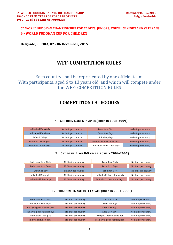#### **6th WORLD FUDOKAN CHAMPIONSHIP FOR CADETS, JUNIORS, YOUTH, SENIORS AND VETERANS 6th WORLD FUDOKAN CUP FOR CHILDREN**

**Belgrade, SERBIA, 02 - 06 December, 2015**

# **WFF-COMPETITION RULES**

### Each country shall be represented by one official team, With participants, aged 6 to 13 years old, and which will compete under the WFF- COMPETITION RULES

### **COMPETITION CATEGORIES**

#### **A. CHILDREN I. AGE 6-7 YEARS ( BORN IN 2008-2009)**

| Individual Kata Girls  | No limit per country | Team Kata Girls               | No limit per country |
|------------------------|----------------------|-------------------------------|----------------------|
| Individual Kata Boys   | No limit per country | Team Kata Boys                | No limit per country |
| Enbu Girl-Boy          | No limit per country | Enbu Boy-Boy                  | No limit per country |
| Individual Kihon girls | No limit per country | individual kihon – ipon girls | No limit per country |
| Individual kihon boys  | No limit per country | Individual kihon -ipon boys   | No limit per country |

#### **B. CHILDREN II. AGE 8-9 YEARS (BORN IN 2006-2007)**

| Individual Kata Girls       | No limit per country | Team Kata Girls               | No limit per country |
|-----------------------------|----------------------|-------------------------------|----------------------|
| <b>Individual Kata Boys</b> | No limit per country | Team Kata Boys                | No limit per country |
| Enbu Girl-Boy               | No limit per country | Enbu Boy-Boy                  | No limit per country |
| Individual Kihon girls      | No limit per country | individual kihon - ipon girls | No limit per country |
| individual kihon boys       | No limit per country | Individual kihon -ipon boys   | No limit per country |

#### **C. CHILDREN III. AGE 10-11 YEARS (BORN IN 2004-2005)**

| Individual Kata Girls        | No limit per country | Team Kata Girls              | No limit per country |
|------------------------------|----------------------|------------------------------|----------------------|
| Individual Kata Boys         | No limit per country | Team Kata Boys               | No limit per country |
| Ind. Jiyu-Ippon-Kumite Girls | No limit per country | Enbu Girl-Boy                | No limit per country |
| Ind. jiyu-ippon kumite boys  | No limit per country | Enbu Boy-Boy                 | No limit per country |
| Individual Kihon girls       | No limit per country | Team jiyu-ippon kumite boy   | No limit per country |
| <b>Individual Kihon Boys</b> | No limit per country | Team jiyu-ippon kumite girls | No limit per country |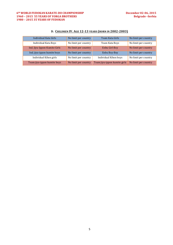| Individual Kata Girls        | No limit per country | Team Kata Girls              | No limit per country |
|------------------------------|----------------------|------------------------------|----------------------|
| Individual Kata Boys         | No limit per country | Team Kata Boys               | No limit per country |
| Ind. Jiyu-Ippon-Kumite Girls | No limit per country | <b>Enbu Girl-Boy</b>         | No limit per country |
| Ind. jiyu-ippon kumite boys  | No limit per country | Enbu Boy-Boy                 | No limit per country |
| Individual Kihon girls       | No limit per country | Individual Kihon boys        | No limit per country |
| Team jiyu-ippon kumite boys  | No limit per country | Team jiyu-ippon kumite girls | No limit per country |

#### **D. CHILDREN IV. AGE 12-13 YEARS (BORN IN 2002-2003)**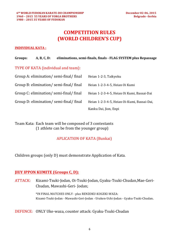# **COMPETITION RULES (WORLD CHILDREN'S CUP)**

#### **INDIVIDUAL KATA:**

#### **Groups: A, B, C, D: eliminations, semi-finals, finals - FLAG SYSTEM plus Repassage**

TYPE OF KATA (individual and team):

| Group A: elimination/semi-final/final | Heian 1-2-3, Taikyoku                       |
|---------------------------------------|---------------------------------------------|
| Group B: elimination/semi-final/final | Heian 1-2-3-4-5, Heian Oi Kumi              |
| Group C: elimination/semi-final/final | Heian 1-2-3-4-5, Heian Oi Kumi, Bassai-Dai  |
| Group D: elimination/semi-final/final | Heian 1-2-3-4-5, Heian Oi-Kumi, Bassai-Dai, |
|                                       | Kanku Dai, Jion, Enpi                       |

Team Kata: Each team will be composed of 3 contestants (1) athlete can be from the younger group)

#### **APLICATION OF KATA (Bunkai)**

Children groups (only D) must demonstrate Application of Kata.

### **JIUY IPPON KUMITE (Groups C, D):**

ATTACK: Kizami-Tsuki-Jodan, Oi-Tsuki-Jodan, Gyaku-Tsuki-Chudan,Mae-Geri-Chudan, Mawashi-Geri- Jodan; 

> \*IN FINAL MATCHES ONLY - plus RENZOKU-KOGEKI-WAZA: Kizami-Tsuki-Jodan - Mawashi-Geri-Jodan - Uraken-Uchi-Jodan - Gyaku-Tsuki-Chudan.

#### DEFENCE: ONLY Uke-waza, counter attack: Gyaku-Tsuki-Chudan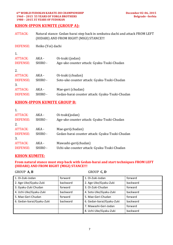#### **6th WORLD FUDOKAN KARATE-DO CHAMPIONSHIP December 02-06, 2015 1960 - 2015 55 YEARS OF YORGA BROTHERS 1980 – 2015 35 YEARS OF FUDOKAN**

#### **KIHON-IPPON KUMITE (GROUP A):**

| ATTACK:  | Natural stance: Gedan-barai step back in zenkutsu dachi and attack FROM LEFT<br>(HIDARI) AND FROM RIGHT (MIGI) STANCE!!! |
|----------|--------------------------------------------------------------------------------------------------------------------------|
| DEFENSE: | Heiko (Yoi) dachi                                                                                                        |

| 1.<br><b>ATTACK:</b><br><b>DEFENSE:</b> | AKA -<br>SHIRO - | Oi-tsuki (jodan)<br>Age-uke counter attack: Gyaku-Tsuki-Chudan |
|-----------------------------------------|------------------|----------------------------------------------------------------|
| 2.                                      |                  |                                                                |
| <b>ATTACK</b>                           | AKA -            | Oi-tsuki (chudan)                                              |
| <b>DEFENSE</b>                          | SHIRO -          | Soto-uke counter attack: Gyaku-Tsuki-Chudan                    |
| 3.                                      |                  |                                                                |
| <b>ATTACK:</b>                          | AKA -            | Mae-geri (chudan)                                              |
| <b>DEFENSE:</b>                         | SHIRO -          | Gedan-barai counter attack: Gyaku-Tsuki-Chudan                 |

#### **KIHON-IPPON KUMITE GROUP B:**

| 1.              |         |                                                |
|-----------------|---------|------------------------------------------------|
| <b>ATTACK:</b>  | AKA -   | Oi-tsuki(jodan)                                |
| <b>DEFENSE:</b> | SHIRO - | Age-uke counter attack: Gyaku-Tsuki-Chudan     |
| 2.              |         |                                                |
| <b>ATTACK:</b>  | AKA -   | Mae-geri(chudan)                               |
| <b>DEFENSE:</b> | SHIRO - | Gedan-barai counter attack: Gyaku-Tsuki-Chudan |
| 3.              |         |                                                |
| <b>ATTACK:</b>  | AKA -   | Mawashi-geri(chudan)                           |
| <b>DEFENSE:</b> | SHIRO-  | Uchi-uke counter attack: Gyaku-Tsuki-Chudan    |
|                 |         |                                                |

#### **KIHON KUMITE:**

#### From natural stance must step back with Gedan-barai and start techniques FROM LEFT **(HIDARI) AND FROM RIGHT (MIGI) STANCE!!!**

#### GROUP **A, B** GROUP **C, D**

| 1. Oi-Zuki-Jodan          | forward  | 1. Oi-Zuki-Jodan          | forward  |
|---------------------------|----------|---------------------------|----------|
| 2. Age-Uke/Gyaku-Zuki     | backward | 2. Age-Uke/Gyaku-Zuki     | backward |
| 3. Gyaku-Zuki Chudan      | forward  | 3. Oi-Zuki-Chudan         | forward  |
| 4. Uchi-Uke/Gyaku-Zuki    | backward | 4. Soto-Uke/Gyaku-Zuki    | backward |
| 5. Mae-Geri-Chudan        | forward  | 5. Mae-Geri-Chudan        | forward  |
| 6. Gedan-barai/Gyaku-Zuki | backward | 6. Gedan-barai/Gyaku-Zuki | backward |
|                           |          | 7. Mawashi-Geri-Jodan     | forward  |
|                           |          | 8. Uchi-Uke/Gyaku-Zuki    | backward |
|                           |          |                           |          |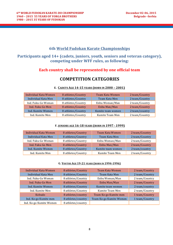#### **6th World Fudokan Karate Championships**

### Participants aged 14+ (cadets, juniors, youth, seniors and veteran category), competing under WFF rules, as following:

#### **Each country shall be represented by one official team**

### **COMPETITION CATEGORIES**

#### **E.** CADETS AGE 14-15 YEARS (BORN IN 2000 – 2001)

| Individual Kata Women | 8 athletes/Country | Team Kata Women   | 2 team/Country |
|-----------------------|--------------------|-------------------|----------------|
| Individual Kata Men   | 8 athletes/Country | Team Kata Men     | 2 team/Country |
| Ind. Fuku-Go Woman    | 8 athletes/Country | Enbu Woman/Man    | 2 team/Country |
| Ind. Fuku-Go Men      | 8 athletes/Country | Enbu Man/Man      | 2 team/Country |
| Ind. Kumite Women     | 8 athletes/Country | Kumite team women | 2 team/country |
| Ind. Kumite Men       | 8 athletes/Country | Kumite Team Men   | 2 team/Country |

#### **F. JUNIORS AGE 16-18 YEARS (BORN IN 1997 - 1999)**

| Individual Kata Women | 8 athletes/Country | Team Kata Women   | 2 team/Country |
|-----------------------|--------------------|-------------------|----------------|
| Individual Kata Men   | 8 athletes/Country | Team Kata Men     | 2 team/Country |
| Ind. Fuku-Go Woman    | 8 athletes/Country | Enbu Woman/Man    | 2 team/Country |
| Ind. Fuku-Go Men      | 8 athletes/Country | Enbu Man/Man      | 2 team/Country |
| Ind. Kumite Women     | 8 athletes/Country | Kumite team women | 2 team/country |
| Ind. Kumite Men       | 8 athletes/Country | Kumite Team Men   | 2 team/Country |

#### G. **YOUTHS AGE 19-21 YEARS** (BORN IN 1994-1996)

| Individual Kata Women   | 8 athletes/Country | Team Kata Women         | 2 team/Country |
|-------------------------|--------------------|-------------------------|----------------|
| Individual Kata Men     | 8 athletes/Country | Team Kata Men           | 2 team/Country |
| Ind. Fuku-Go Woman      | 8 athletes/Country | Enbu Woman/Man          | 2 team/Country |
| Ind. Fuku-Go Men        | 8 athletes/Country | Enbu Man/Man            | 2 team/Country |
| Ind. Kumite Women       | 8 athletes/Country | Kumite team women       | 2 team/country |
| Ind. Kumite Men         | 8 athletes/Country | Kumite Team Men         | 2 team/Country |
| Kobudo                  | 8 athletes/country | Team Ko-go Kumite men   | 1 team/Country |
| Ind. Ko-go Kumite men   | 8 athletes/country | Team Ko-go Kumite Women | 1 team/Country |
| Ind. Ko-go Kumite Women | 8 athletes/country |                         |                |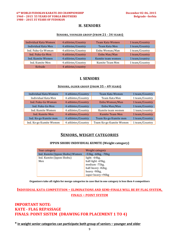#### **6th WORLD FUDOKAN KARATE-DO CHAMPIONSHIP December 02-06, 2015 1960 – 2015 55 YEARS OF YORGA BROTHERS Belgrade –Serbia 1980 – 2015 35 YEARS OF FUDOKAN**

#### **H. SENIORS**

#### **SENIORS, YOUNGER GROUP (FROM 21 - 34 YEARS)**

| Individual Kata Women | 4 athletes/Country | Team Kata Women   | 1 team/Country |
|-----------------------|--------------------|-------------------|----------------|
| Individual Kata Men   | 4 athletes/Country | Team Kata Men     | 1 team/Country |
| Ind. Fuku-Go Woman    | 4 athletes/Country | Enbu Woman/Man    | 1 team/Country |
| Ind. Fuku-Go Men      | 4 athletes/Country | Enbu Man/Man      | 1 team/Country |
| Ind. Kumite Women     | 4 athletes/Country | Kumite team women | 1 team/country |
| Ind. Kumite Men       | 4 athletes/Country | Kumite Team Men   | 1 team/Country |
| Kobudo                | 4 athletes/country |                   |                |

#### **I. SENIORS**

#### **SENIORS, OLDER GROUP (FROM 35 – 49 YEARS)**

| Individual Kata Women   | 4 athletes/Country | Team Kata Women         | 1 team/Country |
|-------------------------|--------------------|-------------------------|----------------|
| Individual Kata Men     | 4 athletes/Country | Team Kata Men           | 1 team/Country |
| Ind. Fuku-Go Woman      | 4 athletes/Country | Enbu Woman/Man          | 1 team/Country |
| Ind. Fuku-Go Men        | 4 athletes/Country | Enbu Man/Man            | 1 team/Country |
| Ind. Kumite Women       | 4 athletes/Country | Kumite team women       | 1 team/country |
| Ind. Kumite Men         | 4 athletes/Country | <b>Kumite Team Men</b>  | 1 team/Country |
| Ind. Ko-go Kumite men   | 4 athletes/Country | Team Ko-go Kumite men   | 1 team/Country |
| Ind. Ko-go Kumite Women | 4 athletes/Country | Team Ko-go Kumite Women | 1 team/Country |

#### **SENIORS, WEIGHT CATEGORIES**

#### **IPPON SHOBU INDIVIDUAL KUMITE (Weight category)**

| Year category                   | Weight category     |
|---------------------------------|---------------------|
| Ind. Kumite (Ippon Shobu) Women | -53kg, -60kg, -70kg |
| Ind. Kumite (Ippon Shobu)       | light: -64kg,       |
| Men                             | half-light -69kg,   |
|                                 | medium -75kg,       |
|                                 | half-heavy -82kg,   |
|                                 | heavy -90kg,        |
|                                 | super heavy +90kg   |

Organizers take all rights for merge categories in case that in one category is less then 4 competitors

### **INDIVIDUAL KATA COMPETITION – ELIMINATIONS AND SEMI-FINALS WILL BE BY FLAG SYSTEM, FINALS – POINT SYSTEM**

### **IMPORTANT NOTE: KATE - FLAG REPASSAGE** FINALS: POINT SISTEM (DRAWING FOR PLACEMENT 1 TO 4)

\* in weight senior categories can participate both group of seniors – younger and older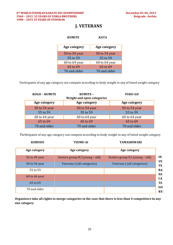### **J. VETERANS**

| <b>KATA</b>   |
|---------------|
| Age category  |
| 50 to 54 year |
| 55 to 59      |
| 60 to 64 year |
| 65 to 69      |
| 70 and older  |
|               |

Participants of any age category can compete according to body weight in any of listed weight category

| <b>KOGO - KUMITE</b> | KUMITE -<br>Weight and open categories | <b>FUKU-GO</b> |
|----------------------|----------------------------------------|----------------|
| Age category         | Age category                           | Age category   |
| 50 to 54 year        | 50 to 54 year                          | 50 to 54 year  |
| 55 to 59             | 55 to 59                               | 55 to 59       |
| 60 to 64 year        | 60 to 64 year                          | 60 to 64 year  |
| 65 to 69             | 65 to 69                               | 65 to 69       |
| 70 and older         | 70 and older                           | 70 and older   |

Participants of any age category can compete according to body weight in any of listed weight category

|                        | <b>TAMASHIWARI</b>              | <b>TSUME-AI</b>                 | <b>KOBUDO</b> |
|------------------------|---------------------------------|---------------------------------|---------------|
|                        | Age category                    | Age category                    | Age category  |
| IN<br><b>VE</b>        | Seniors group H,I (young – old) | Seniors group H,I (young - old) | 36 to 49 year |
| TE                     | Veterans J (all categories)     | Veterans J (all categories)     | 50 to 54 year |
| <b>RA</b><br><b>NS</b> |                                 |                                 | 55 to 59      |
| <b>CA</b>              |                                 |                                 | 60 to 64 year |
| TE<br>GO               |                                 |                                 | 65 to 69      |
| RY:                    |                                 |                                 | 70 and older  |

**Organizers take all rights to merge categories in the case that there is less than 4 competitors in any one category**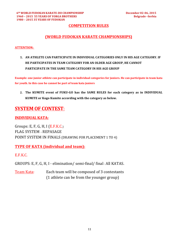#### **COMPETITION RULES**

#### **(WORLD FUDOKAN KARATE CHAMPIONSHIPS)**

#### **ATTENTION:**

1. AN ATHLETE CAN PARTICIPATE IN INDIVIDUAL CATEGORIES ONLY IN HIS AGE CATEGORY. IF **HE PARTICIPATES IN TEAM CATEGORY FOR AN OLDER AGE GROUP, HE CANNOT PARTICIPATE IN THE SAME TEAM CATEGORY IN HIS AGE GROUP** 

**Example:** one junior athlete can participate in individual categories for juniors. He can participate in team kata for youth. In this case he cannot be part of team kata juniors

2. The KUMITE event of FUKU-GO has the SAME RULES for each category as in INDIVIDUAL KUMITE or Kogo Kumite according with the category as below.

# **SYSTEM OF CONTEST:**

#### **INDIVIDUAL KATA:**

Groups:  $E, F, G, H, I$  ( $E.F.K.C.$ ) FLAG SYSTEM – REPASAGE POINT SYSTEM IN FINALS (DRAWING FOR PLACEMENT 1 TO 4)

#### **TYPE OF KATA (individual and team):**

E.F.K.C.

GROUPS: E, F, G, H, I - elimination/ semi-final/ final - All KATAS.

Team Kata: Each team will be composed of 3 contestants (1 athlete can be from the younger group)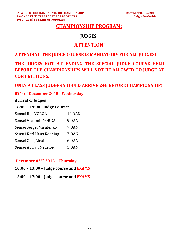# **CHAMPIONSHIP PROGRAM:**

### **JUDGES:**

## **ATTENTION!**

### **ATTENDING THE JUDGE COURSE IS MANDATORY FOR ALL JUDGES!**

# THE JUDGES NOT ATTENDING THE SPECIAL JUDGE COURSE HELD **BEFORE THE CHAMPIONSHIPS WILL NOT BE ALLOWED TO JUDGE AT COMPETITIONS.**

### **ONLY A CLASS JUDGES SHOULD ARRIVE 24h BEFORE CHAMPIONSHIP!**

### **02ND of December 2015 - Wednesday**

#### **Arrival of Judges**

### **18:00 – 19:00 - Judge Course:**

| Sensei Ilija YORGA       | 10 DAN |
|--------------------------|--------|
| Sensei Vladimir YORGA    | 9 DAN  |
| Sensei Sergei Mirutenko  | 7 DAN  |
| Sensei Karl Hans Koening | 7 DAN  |
| Sensei Oleg Alexin       | 6 DAN  |
| Sensei Adrian Nedeloiu   | 5 DAN  |

#### **December 03RD 2015 – Thursday**

- **10:00 – 13:00 – Judge course and EXAMS**
- **15:00 – 17:00 – Judge course and EXAMS**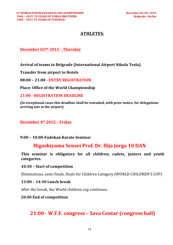### **ATHLETES:**

### **December 03RD 2015 – Thursday**

**Arrival of teams to Belgrade (International Airport Nikola Tesla)**

**Transfer from airport to Hotels** 

**08:00 – 21:00 - ENTRY REGISTRATION**

**Place: Office of the World Championship** 

**21:00 - REGISTRATION DEADLINE**

**(In exceptional cases this deadline shall be extended, with prior notice, for delegations arriving late at the airport)**

#### **December 4th 2015 – Friday**

#### **9:00 – 10:00-Fudokan Karate Seminar**

# **Higashiyama Sensei Prof. Dr. Ilija Jorga 10 DAN**

This seminar is obligatory for all children, cadets, juniors and youth **categories.**

#### **10:30 – Start of competition**

Eliminations, semi-finals, finals for Children Category (WORLD CHILDREN'S CUP)

#### **13:00 – 14:30 Lunch break**

After the break, the World children cup continues.

#### **20.00 End of competition**

# **21:00 - W.F.F. congress – Sava Centar (congress hall)**